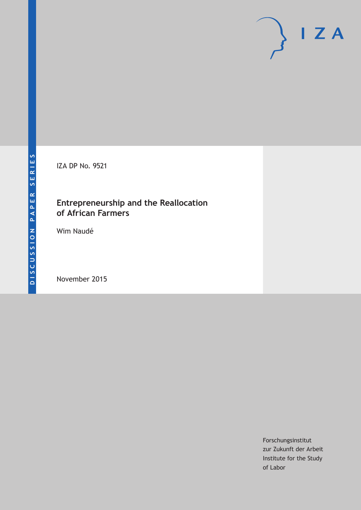IZA DP No. 9521

# **Entrepreneurship and the Reallocation of African Farmers**

Wim Naudé

November 2015

Forschungsinstitut zur Zukunft der Arbeit Institute for the Study of Labor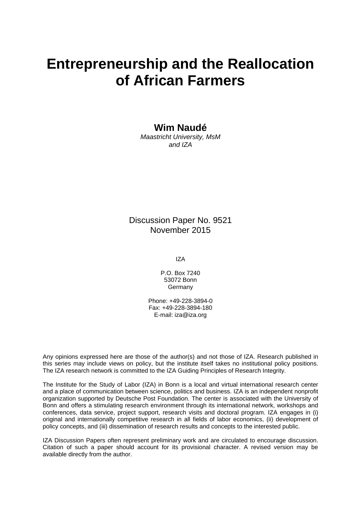# **Entrepreneurship and the Reallocation of African Farmers**

# **Wim Naudé**

*Maastricht University, MsM and IZA* 

Discussion Paper No. 9521 November 2015

IZA

P.O. Box 7240 53072 Bonn Germany

Phone: +49-228-3894-0 Fax: +49-228-3894-180 E-mail: iza@iza.org

Any opinions expressed here are those of the author(s) and not those of IZA. Research published in this series may include views on policy, but the institute itself takes no institutional policy positions. The IZA research network is committed to the IZA Guiding Principles of Research Integrity.

The Institute for the Study of Labor (IZA) in Bonn is a local and virtual international research center and a place of communication between science, politics and business. IZA is an independent nonprofit organization supported by Deutsche Post Foundation. The center is associated with the University of Bonn and offers a stimulating research environment through its international network, workshops and conferences, data service, project support, research visits and doctoral program. IZA engages in (i) original and internationally competitive research in all fields of labor economics, (ii) development of policy concepts, and (iii) dissemination of research results and concepts to the interested public.

IZA Discussion Papers often represent preliminary work and are circulated to encourage discussion. Citation of such a paper should account for its provisional character. A revised version may be available directly from the author.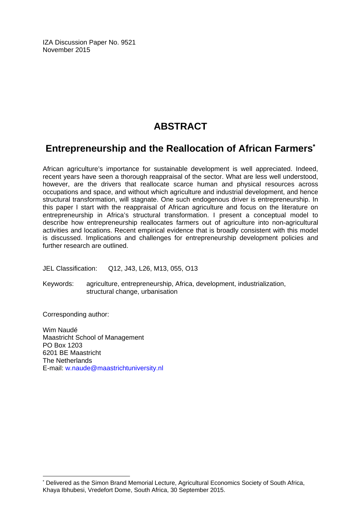IZA Discussion Paper No. 9521 November 2015

# **ABSTRACT**

# **Entrepreneurship and the Reallocation of African Farmers\***

African agriculture's importance for sustainable development is well appreciated. Indeed, recent years have seen a thorough reappraisal of the sector. What are less well understood, however, are the drivers that reallocate scarce human and physical resources across occupations and space, and without which agriculture and industrial development, and hence structural transformation, will stagnate. One such endogenous driver is entrepreneurship. In this paper I start with the reappraisal of African agriculture and focus on the literature on entrepreneurship in Africa's structural transformation. I present a conceptual model to describe how entrepreneurship reallocates farmers out of agriculture into non-agricultural activities and locations. Recent empirical evidence that is broadly consistent with this model is discussed. Implications and challenges for entrepreneurship development policies and further research are outlined.

JEL Classification: Q12, J43, L26, M13, 055, O13

Keywords: agriculture, entrepreneurship, Africa, development, industrialization, structural change, urbanisation

Corresponding author:

 $\overline{a}$ 

Wim Naudé Maastricht School of Management PO Box 1203 6201 BE Maastricht The Netherlands E-mail: w.naude@maastrichtuniversity.nl

<sup>\*</sup> Delivered as the Simon Brand Memorial Lecture, Agricultural Economics Society of South Africa, Khaya Ibhubesi, Vredefort Dome, South Africa, 30 September 2015.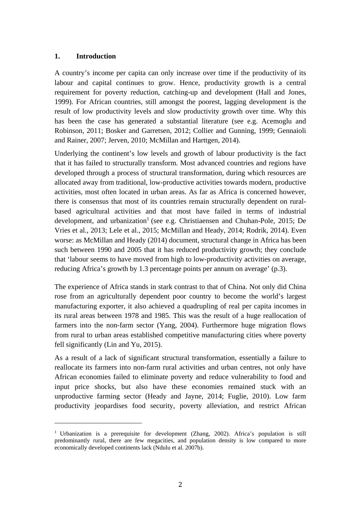#### **1. Introduction**

A country's income per capita can only increase over time if the productivity of its labour and capital continues to grow. Hence, productivity growth is a central requirement for poverty reduction, catching-up and development (Hall and Jones, 1999). For African countries, still amongst the poorest, lagging development is the result of low productivity levels and slow productivity growth over time. Why this has been the case has generated a substantial literature (see e.g. Acemoglu and Robinson, 2011; Bosker and Garretsen, 2012; Collier and Gunning, 1999; Gennaioli and Rainer, 2007; Jerven, 2010; McMillan and Harttgen, 2014).

Underlying the continent's low levels and growth of labour productivity is the fact that it has failed to structurally transform. Most advanced countries and regions have developed through a process of structural transformation, during which resources are allocated away from traditional, low-productive activities towards modern, productive activities, most often located in urban areas. As far as Africa is concerned however, there is consensus that most of its countries remain structurally dependent on ruralbased agricultural activities and that most have failed in terms of industrial development, and urbanization<sup>1</sup> (see e.g. Christiaensen and Chuhan-Pole, 2015; De Vries et al., 2013; Lele et al., 2015; McMillan and Heady, 2014; Rodrik, 2014). Even worse: as McMillan and Heady (2014) document, structural change in Africa has been such between 1990 and 2005 that it has reduced productivity growth; they conclude that 'labour seems to have moved from high to low-productivity activities on average, reducing Africa's growth by 1.3 percentage points per annum on average' (p.3).

The experience of Africa stands in stark contrast to that of China. Not only did China rose from an agriculturally dependent poor country to become the world's largest manufacturing exporter, it also achieved a quadrupling of real per capita incomes in its rural areas between 1978 and 1985. This was the result of a huge reallocation of farmers into the non-farm sector (Yang, 2004). Furthermore huge migration flows from rural to urban areas established competitive manufacturing cities where poverty fell significantly (Lin and Yu, 2015).

As a result of a lack of significant structural transformation, essentially a failure to reallocate its farmers into non-farm rural activities and urban centres, not only have African economies failed to eliminate poverty and reduce vulnerability to food and input price shocks, but also have these economies remained stuck with an unproductive farming sector (Heady and Jayne, 2014; Fuglie, 2010). Low farm productivity jeopardises food security, poverty alleviation, and restrict African

 

<sup>&</sup>lt;sup>1</sup> Urbanization is a prerequisite for development (Zhang, 2002). Africa's population is still predominantly rural, there are few megacities, and population density is low compared to more economically developed continents lack (Ndulu et al. 2007b).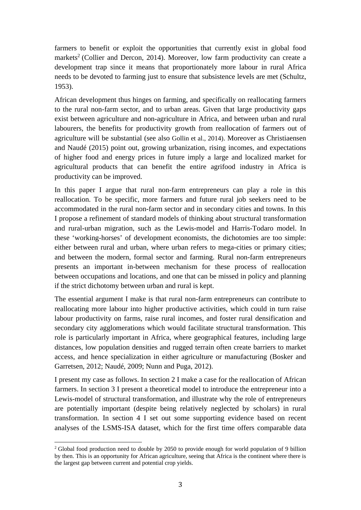farmers to benefit or exploit the opportunities that currently exist in global food markets<sup>2</sup> (Collier and Dercon, 2014). Moreover, low farm productivity can create a development trap since it means that proportionately more labour in rural Africa needs to be devoted to farming just to ensure that subsistence levels are met (Schultz, 1953).

African development thus hinges on farming, and specifically on reallocating farmers to the rural non-farm sector, and to urban areas. Given that large productivity gaps exist between agriculture and non-agriculture in Africa, and between urban and rural labourers, the benefits for productivity growth from reallocation of farmers out of agriculture will be substantial (see also Gollin et al., 2014). Moreover as Christiaensen and Naudé (2015) point out, growing urbanization, rising incomes, and expectations of higher food and energy prices in future imply a large and localized market for agricultural products that can benefit the entire agrifood industry in Africa is productivity can be improved.

In this paper I argue that rural non-farm entrepreneurs can play a role in this reallocation. To be specific, more farmers and future rural job seekers need to be accommodated in the rural non-farm sector and in secondary cities and towns. In this I propose a refinement of standard models of thinking about structural transformation and rural-urban migration, such as the Lewis-model and Harris-Todaro model. In these 'working-horses' of development economists, the dichotomies are too simple: either between rural and urban, where urban refers to mega-cities or primary cities; and between the modern, formal sector and farming. Rural non-farm entrepreneurs presents an important in-between mechanism for these process of reallocation between occupations and locations, and one that can be missed in policy and planning if the strict dichotomy between urban and rural is kept.

The essential argument I make is that rural non-farm entrepreneurs can contribute to reallocating more labour into higher productive activities, which could in turn raise labour productivity on farms, raise rural incomes, and foster rural densification and secondary city agglomerations which would facilitate structural transformation. This role is particularly important in Africa, where geographical features, including large distances, low population densities and rugged terrain often create barriers to market access, and hence specialization in either agriculture or manufacturing (Bosker and Garretsen, 2012; Naudé, 2009; Nunn and Puga, 2012).

I present my case as follows. In section 2 I make a case for the reallocation of African farmers. In section 3 I present a theoretical model to introduce the entrepreneur into a Lewis-model of structural transformation, and illustrate why the role of entrepreneurs are potentially important (despite being relatively neglected by scholars) in rural transformation. In section 4 I set out some supporting evidence based on recent analyses of the LSMS-ISA dataset, which for the first time offers comparable data

 <sup>2</sup> Global food production need to double by 2050 to provide enough for world population of 9 billion by then. This is an opportunity for African agriculture, seeing that Africa is the continent where there is the largest gap between current and potential crop yields.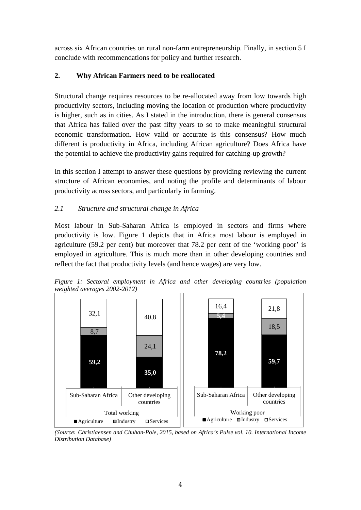across six African countries on rural non-farm entrepreneurship. Finally, in section 5 I conclude with recommendations for policy and further research.

## **2. Why African Farmers need to be reallocated**

Structural change requires resources to be re-allocated away from low towards high productivity sectors, including moving the location of production where productivity is higher, such as in cities. As I stated in the introduction, there is general consensus that Africa has failed over the past fifty years to so to make meaningful structural economic transformation. How valid or accurate is this consensus? How much different is productivity in Africa, including African agriculture? Does Africa have the potential to achieve the productivity gains required for catching-up growth?

In this section I attempt to answer these questions by providing reviewing the current structure of African economies, and noting the profile and determinants of labour productivity across sectors, and particularly in farming.

## *2.1 Structure and structural change in Africa*

Most labour in Sub-Saharan Africa is employed in sectors and firms where productivity is low. Figure 1 depicts that in Africa most labour is employed in agriculture (59.2 per cent) but moreover that 78.2 per cent of the 'working poor' is employed in agriculture. This is much more than in other developing countries and reflect the fact that productivity levels (and hence wages) are very low.



*Figure 1: Sectoral employment in Africa and other developing countries (population weighted averages 2002-2012)* 

*Distribution Database)*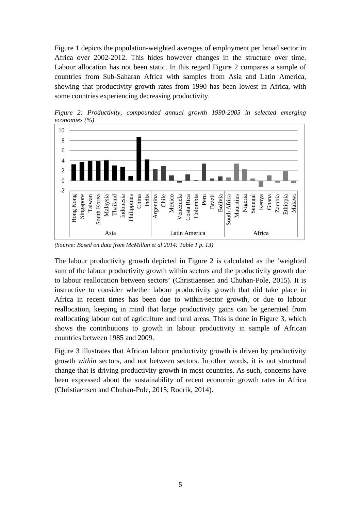Figure 1 depicts the population-weighted averages of employment per broad sector in Africa over 2002-2012. This hides however changes in the structure over time. Labour allocation has not been static. In this regard Figure 2 compares a sample of countries from Sub-Saharan Africa with samples from Asia and Latin America, showing that productivity growth rates from 1990 has been lowest in Africa, with some countries experiencing decreasing productivity.



*Figure 2: Productivity, compounded annual growth 1990-2005 in selected emerging economies (%)* 

*(Source: Based on data from McMillan et al 2014: Table 1 p. 13)* 

The labour productivity growth depicted in Figure 2 is calculated as the 'weighted sum of the labour productivity growth within sectors and the productivity growth due to labour reallocation between sectors' (Christiaensen and Chuhan-Pole, 2015). It is instructive to consider whether labour productivity growth that did take place in Africa in recent times has been due to within-sector growth, or due to labour reallocation, keeping in mind that large productivity gains can be generated from reallocating labour out of agriculture and rural areas. This is done in Figure 3, which shows the contributions to growth in labour productivity in sample of African countries between 1985 and 2009.

Figure 3 illustrates that African labour productivity growth is driven by productivity growth *within* sectors, and not between sectors. In other words, it is not structural change that is driving productivity growth in most countries. As such, concerns have been expressed about the sustainability of recent economic growth rates in Africa (Christiaensen and Chuhan-Pole, 2015; Rodrik, 2014).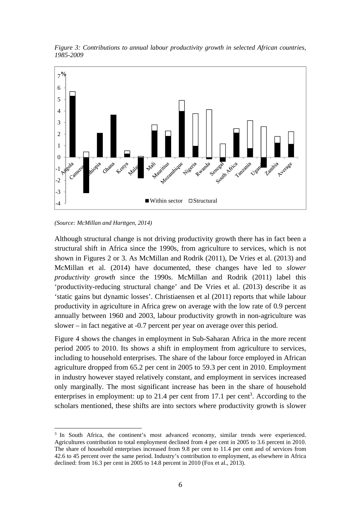*Figure 3: Contributions to annual labour productivity growth in selected African countries, 1985-2009* 



*<sup>(</sup>Source: McMillan and Harttgen, 2014)* 

 

Although structural change is not driving productivity growth there has in fact been a structural shift in Africa since the 1990s, from agriculture to services, which is not shown in Figures 2 or 3. As McMillan and Rodrik (2011), De Vries et al. (2013) and McMillan et al. (2014) have documented, these changes have led to *slower productivity growth* since the 1990s. McMillan and Rodrik (2011) label this 'productivity-reducing structural change' and De Vries et al. (2013) describe it as 'static gains but dynamic losses'. Christiaensen et al (2011) reports that while labour productivity in agriculture in Africa grew on average with the low rate of 0.9 percent annually between 1960 and 2003, labour productivity growth in non-agriculture was slower – in fact negative at -0.7 percent per year on average over this period.

Figure 4 shows the changes in employment in Sub-Saharan Africa in the more recent period 2005 to 2010. Its shows a shift in employment from agriculture to services, including to household enterprises. The share of the labour force employed in African agriculture dropped from 65.2 per cent in 2005 to 59.3 per cent in 2010. Employment in industry however stayed relatively constant, and employment in services increased only marginally. The most significant increase has been in the share of household enterprises in employment: up to 21.4 per cent from 17.1 per cent<sup>3</sup>. According to the scholars mentioned, these shifts are into sectors where productivity growth is slower

<sup>&</sup>lt;sup>3</sup> In South Africa, the continent's most advanced economy, similar trends were experienced. Agricultures contribution to total employment declined from 4 per cent in 2005 to 3.6 percent in 2010. The share of household enterprises increased from 9.8 per cent to 11.4 per cent and of services from 42.6 to 45 percent over the same period. Industry's contribution to employment, as elsewhere in Africa declined: from 16.3 per cent in 2005 to 14.8 percent in 2010 (Fox et al., 2013).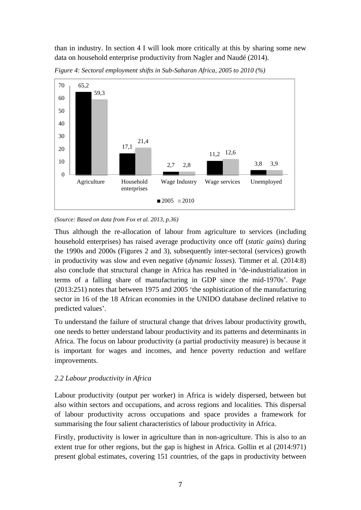than in industry. In section 4 I will look more critically at this by sharing some new data on household enterprise productivity from Nagler and Naudé (2014).



*Figure 4: Sectoral employment shifts in Sub-Saharan Africa, 2005 to 2010 (%)* 

*(Source: Based on data from Fox et al. 2013, p.36)* 

Thus although the re-allocation of labour from agriculture to services (including household enterprises) has raised average productivity once off (*static gains*) during the 1990s and 2000s (Figures 2 and 3), subsequently inter-sectoral (services) growth in productivity was slow and even negative (*dynamic losses*). Timmer et al. (2014:8) also conclude that structural change in Africa has resulted in 'de-industrialization in terms of a falling share of manufacturing in GDP since the mid-1970s'. Page (2013:251) notes that between 1975 and 2005 'the sophistication of the manufacturing sector in 16 of the 18 African economies in the UNIDO database declined relative to predicted values'.

To understand the failure of structural change that drives labour productivity growth, one needs to better understand labour productivity and its patterns and determinants in Africa. The focus on labour productivity (a partial productivity measure) is because it is important for wages and incomes, and hence poverty reduction and welfare improvements.

#### *2.2 Labour productivity in Africa*

Labour productivity (output per worker) in Africa is widely dispersed, between but also within sectors and occupations, and across regions and localities. This dispersal of labour productivity across occupations and space provides a framework for summarising the four salient characteristics of labour productivity in Africa.

Firstly, productivity is lower in agriculture than in non-agriculture. This is also to an extent true for other regions, but the gap is highest in Africa. Gollin et al (2014:971) present global estimates, covering 151 countries, of the gaps in productivity between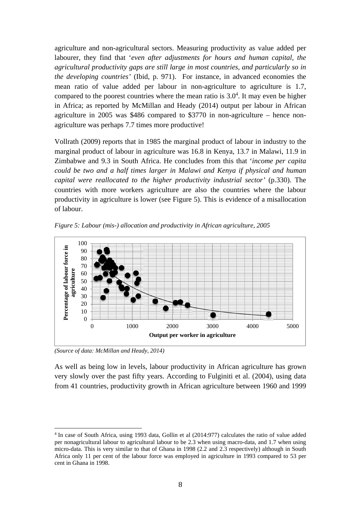agriculture and non-agricultural sectors. Measuring productivity as value added per labourer, they find that '*even after adjustments for hours and human capital, the agricultural productivity gaps are still large in most countries, and particularly so in the developing countries'* (Ibid, p. 971). For instance, in advanced economies the mean ratio of value added per labour in non-agriculture to agriculture is 1.7, compared to the poorest countries where the mean ratio is  $3.0<sup>4</sup>$ . It may even be higher in Africa; as reported by McMillan and Heady (2014) output per labour in African agriculture in 2005 was \$486 compared to \$3770 in non-agriculture – hence nonagriculture was perhaps 7.7 times more productive!

Vollrath (2009) reports that in 1985 the marginal product of labour in industry to the marginal product of labour in agriculture was 16.8 in Kenya, 13.7 in Malawi, 11.9 in Zimbabwe and 9.3 in South Africa. He concludes from this that '*income per capita could be two and a half times larger in Malawi and Kenya if physical and human capital were reallocated to the higher productivity industrial sector'* (p.330). The countries with more workers agriculture are also the countries where the labour productivity in agriculture is lower (see Figure 5). This is evidence of a misallocation of labour.

*Figure 5: Labour (mis-) allocation and productivity in African agriculture, 2005* 



*(Source of data: McMillan and Heady, 2014)* 

 

As well as being low in levels, labour productivity in African agriculture has grown very slowly over the past fifty years. According to Fulginiti et al. (2004), using data from 41 countries, productivity growth in African agriculture between 1960 and 1999

<sup>&</sup>lt;sup>4</sup> In case of South Africa, using 1993 data, Gollin et al (2014:977) calculates the ratio of value added per nonagricultural labour to agricultural labour to be 2.3 when using macro-data, and 1.7 when using micro-data. This is very similar to that of Ghana in 1998 (2.2 and 2.3 respectively) although in South Africa only 11 per cent of the labour force was employed in agriculture in 1993 compared to 53 per cent in Ghana in 1998.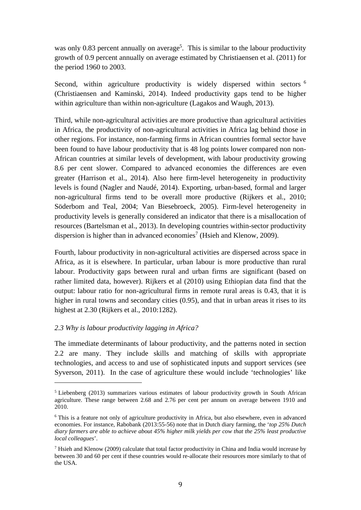was only 0.83 percent annually on average<sup>5</sup>. This is similar to the labour productivity growth of 0.9 percent annually on average estimated by Christiaensen et al. (2011) for the period 1960 to 2003.

Second, within agriculture productivity is widely dispersed within sectors <sup>6</sup> (Christiaensen and Kaminski, 2014). Indeed productivity gaps tend to be higher within agriculture than within non-agriculture (Lagakos and Waugh, 2013).

Third, while non-agricultural activities are more productive than agricultural activities in Africa, the productivity of non-agricultural activities in Africa lag behind those in other regions. For instance, non-farming firms in African countries formal sector have been found to have labour productivity that is 48 log points lower compared non non-African countries at similar levels of development, with labour productivity growing 8.6 per cent slower. Compared to advanced economies the differences are even greater (Harrison et al., 2014). Also here firm-level heterogeneity in productivity levels is found (Nagler and Naudé, 2014). Exporting, urban-based, formal and larger non-agricultural firms tend to be overall more productive (Rijkers et al., 2010; Söderbom and Teal, 2004; Van Biesebroeck, 2005). Firm-level heterogeneity in productivity levels is generally considered an indicator that there is a misallocation of resources (Bartelsman et al., 2013). In developing countries within-sector productivity dispersion is higher than in advanced economies<sup>7</sup> (Hsieh and Klenow, 2009).

Fourth, labour productivity in non-agricultural activities are dispersed across space in Africa, as it is elsewhere. In particular, urban labour is more productive than rural labour. Productivity gaps between rural and urban firms are significant (based on rather limited data, however). Rijkers et al (2010) using Ethiopian data find that the output: labour ratio for non-agricultural firms in remote rural areas is 0.43, that it is higher in rural towns and secondary cities (0.95), and that in urban areas it rises to its highest at 2.30 (Rijkers et al., 2010:1282).

#### *2.3 Why is labour productivity lagging in Africa?*

 

The immediate determinants of labour productivity, and the patterns noted in section 2.2 are many. They include skills and matching of skills with appropriate technologies, and access to and use of sophisticated inputs and support services (see Syverson, 2011). In the case of agriculture these would include 'technologies' like

<sup>&</sup>lt;sup>5</sup> Liebenberg (2013) summarizes various estimates of labour productivity growth in South African agriculture. These range between 2.68 and 2.76 per cent per annum on average between 1910 and 2010.

<sup>&</sup>lt;sup>6</sup> This is a feature not only of agriculture productivity in Africa, but also elsewhere, even in advanced economies. For instance, Rabobank (2013:55-56) note that in Dutch diary farming, the '*top 25% Dutch diary farmers are able to achieve about 45% higher milk yields per cow that the 25% least productive local colleagues*'.

<sup>&</sup>lt;sup>7</sup> Hsieh and Klenow (2009) calculate that total factor productivity in China and India would increase by between 30 and 60 per cent if these countries would re-allocate their resources more similarly to that of the USA.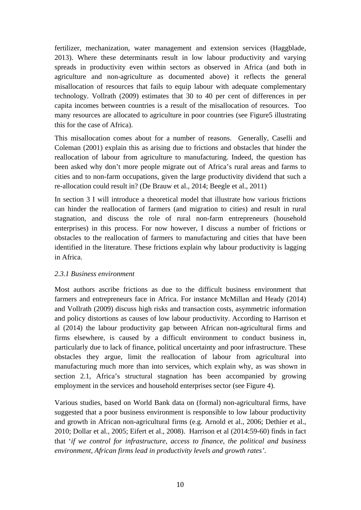fertilizer, mechanization, water management and extension services (Haggblade, 2013). Where these determinants result in low labour productivity and varying spreads in productivity even within sectors as observed in Africa (and both in agriculture and non-agriculture as documented above) it reflects the general misallocation of resources that fails to equip labour with adequate complementary technology. Vollrath (2009) estimates that 30 to 40 per cent of differences in per capita incomes between countries is a result of the misallocation of resources. Too many resources are allocated to agriculture in poor countries (see Figure5 illustrating this for the case of Africa).

This misallocation comes about for a number of reasons. Generally, Caselli and Coleman (2001) explain this as arising due to frictions and obstacles that hinder the reallocation of labour from agriculture to manufacturing. Indeed, the question has been asked why don't more people migrate out of Africa's rural areas and farms to cities and to non-farm occupations, given the large productivity dividend that such a re-allocation could result in? (De Brauw et al., 2014; Beegle et al., 2011)

In section 3 I will introduce a theoretical model that illustrate how various frictions can hinder the reallocation of farmers (and migration to cities) and result in rural stagnation, and discuss the role of rural non-farm entrepreneurs (household enterprises) in this process. For now however, I discuss a number of frictions or obstacles to the reallocation of farmers to manufacturing and cities that have been identified in the literature. These frictions explain why labour productivity is lagging in Africa.

#### *2.3.1 Business environment*

Most authors ascribe frictions as due to the difficult business environment that farmers and entrepreneurs face in Africa. For instance McMillan and Heady (2014) and Vollrath (2009) discuss high risks and transaction costs, asymmetric information and policy distortions as causes of low labour productivity. According to Harrison et al (2014) the labour productivity gap between African non-agricultural firms and firms elsewhere, is caused by a difficult environment to conduct business in, particularly due to lack of finance, political uncertainty and poor infrastructure. These obstacles they argue, limit the reallocation of labour from agricultural into manufacturing much more than into services, which explain why, as was shown in section 2.1, Africa's structural stagnation has been accompanied by growing employment in the services and household enterprises sector (see Figure 4).

Various studies, based on World Bank data on (formal) non-agricultural firms, have suggested that a poor business environment is responsible to low labour productivity and growth in African non-agricultural firms (e.g. Arnold et al., 2006; Dethier et al., 2010; Dollar et al., 2005; Eifert et al., 2008). Harrison et al (2014:59-60) finds in fact that '*if we control for infrastructure, access to finance, the political and business environment, African firms lead in productivity levels and growth rates'*.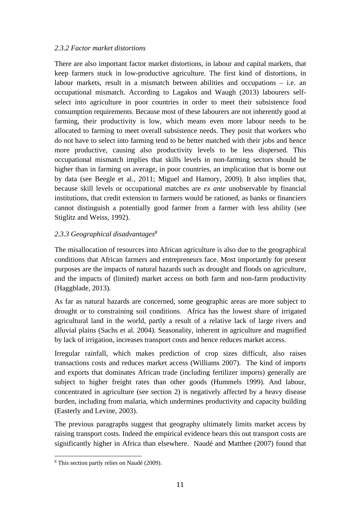#### *2.3.2 Factor market distortions*

There are also important factor market distortions, in labour and capital markets, that keep farmers stuck in low-productive agriculture. The first kind of distortions, in labour markets, result in a mismatch between abilities and occupations – i.e. an occupational mismatch. According to Lagakos and Waugh (2013) labourers selfselect into agriculture in poor countries in order to meet their subsistence food consumption requirements. Because most of these labourers are not inherently good at farming, their productivity is low, which means even more labour needs to be allocated to farming to meet overall subsistence needs. They posit that workers who do not have to select into farming tend to be better matched with their jobs and hence more productive, causing also productivity levels to be less dispersed. This occupational mismatch implies that skills levels in non-farming sectors should be higher than in farming on average, in poor countries, an implication that is borne out by data (see Beegle et al., 2011; Miguel and Hamory, 2009). It also implies that, because skill levels or occupational matches are *ex ante* unobservable by financial institutions, that credit extension to farmers would be rationed, as banks or financiers cannot distinguish a potentially good farmer from a farmer with less ability (see Stiglitz and Weiss, 1992).

#### *2.3.3 Geographical disadvantages8*

The misallocation of resources into African agriculture is also due to the geographical conditions that African farmers and entrepreneurs face. Most importantly for present purposes are the impacts of natural hazards such as drought and floods on agriculture, and the impacts of (limited) market access on both farm and non-farm productivity (Haggblade, 2013).

As far as natural hazards are concerned, some geographic areas are more subject to drought or to constraining soil conditions. Africa has the lowest share of irrigated agricultural land in the world, partly a result of a relative lack of large rivers and alluvial plains (Sachs et al. 2004). Seasonality, inherent in agriculture and magnified by lack of irrigation, increases transport costs and hence reduces market access.

Irregular rainfall, which makes prediction of crop sizes difficult, also raises transactions costs and reduces market access (Williams 2007). The kind of imports and exports that dominates African trade (including fertilizer imports) generally are subject to higher freight rates than other goods (Hummels 1999). And labour, concentrated in agriculture (see section 2) is negatively affected by a heavy disease burden, including from malaria, which undermines productivity and capacity building (Easterly and Levine, 2003).

The previous paragraphs suggest that geography ultimately limits market access by raising transport costs. Indeed the empirical evidence bears this out transport costs are significantly higher in Africa than elsewhere. Naudé and Matthee (2007) found that

 

<sup>8</sup> This section partly relies on Naudé (2009).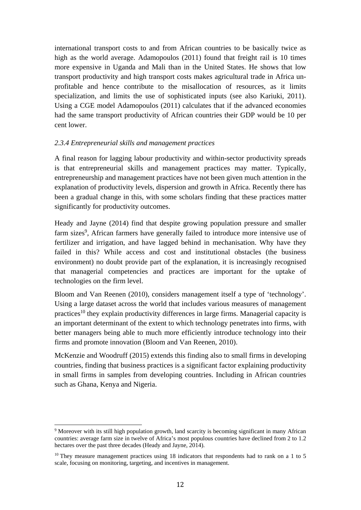international transport costs to and from African countries to be basically twice as high as the world average. Adamopoulos (2011) found that freight rail is 10 times more expensive in Uganda and Mali than in the United States. He shows that low transport productivity and high transport costs makes agricultural trade in Africa unprofitable and hence contribute to the misallocation of resources, as it limits specialization, and limits the use of sophisticated inputs (see also Kariuki, 2011). Using a CGE model Adamopoulos (2011) calculates that if the advanced economies had the same transport productivity of African countries their GDP would be 10 per cent lower.

#### *2.3.4 Entrepreneurial skills and management practices*

A final reason for lagging labour productivity and within-sector productivity spreads is that entrepreneurial skills and management practices may matter. Typically, entrepreneurship and management practices have not been given much attention in the explanation of productivity levels, dispersion and growth in Africa. Recently there has been a gradual change in this, with some scholars finding that these practices matter significantly for productivity outcomes.

Heady and Jayne (2014) find that despite growing population pressure and smaller farm sizes<sup>9</sup>, African farmers have generally failed to introduce more intensive use of fertilizer and irrigation, and have lagged behind in mechanisation. Why have they failed in this? While access and cost and institutional obstacles (the business environment) no doubt provide part of the explanation, it is increasingly recognised that managerial competencies and practices are important for the uptake of technologies on the firm level.

Bloom and Van Reenen (2010), considers management itself a type of 'technology'. Using a large dataset across the world that includes various measures of management practices<sup>10</sup> they explain productivity differences in large firms. Managerial capacity is an important determinant of the extent to which technology penetrates into firms, with better managers being able to much more efficiently introduce technology into their firms and promote innovation (Bloom and Van Reenen, 2010).

McKenzie and Woodruff (2015) extends this finding also to small firms in developing countries, finding that business practices is a significant factor explaining productivity in small firms in samples from developing countries. Including in African countries such as Ghana, Kenya and Nigeria.

 

<sup>&</sup>lt;sup>9</sup> Moreover with its still high population growth, land scarcity is becoming significant in many African countries: average farm size in twelve of Africa's most populous countries have declined from 2 to 1.2 hectares over the past three decades (Heady and Jayne, 2014).

<sup>&</sup>lt;sup>10</sup> They measure management practices using 18 indicators that respondents had to rank on a 1 to 5 scale, focusing on monitoring, targeting, and incentives in management.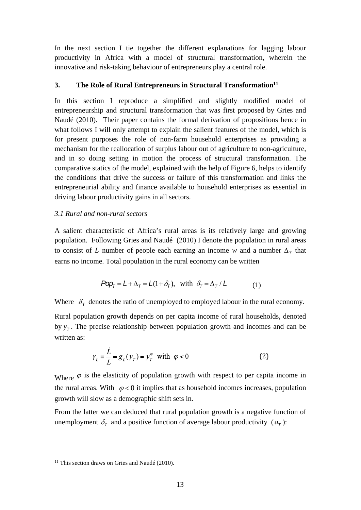In the next section I tie together the different explanations for lagging labour productivity in Africa with a model of structural transformation, wherein the innovative and risk-taking behaviour of entrepreneurs play a central role.

#### **3.** The Role of Rural Entrepreneurs in Structural Transformation<sup>11</sup>

In this section I reproduce a simplified and slightly modified model of entrepreneurship and structural transformation that was first proposed by Gries and Naudé (2010). Their paper contains the formal derivation of propositions hence in what follows I will only attempt to explain the salient features of the model, which is for present purposes the role of non-farm household enterprises as providing a mechanism for the reallocation of surplus labour out of agriculture to non-agriculture, and in so doing setting in motion the process of structural transformation. The comparative statics of the model, explained with the help of Figure 6, helps to identify the conditions that drive the success or failure of this transformation and links the entrepreneurial ability and finance available to household enterprises as essential in driving labour productivity gains in all sectors.

#### *3.1 Rural and non-rural sectors*

A salient characteristic of Africa's rural areas is its relatively large and growing population. Following Gries and Naudé (2010) I denote the population in rural areas to consist of *L* number of people each earning an income *w* and a number  $\Delta_{\tau}$  that earns no income. Total population in the rural economy can be written

$$
Pop_{T} = L + \Delta_{T} = L(1 + \delta_{T}), \text{ with } \delta_{T} = \Delta_{T} / L \tag{1}
$$

Where  $\delta_T$  denotes the ratio of unemployed to employed labour in the rural economy.

Rural population growth depends on per capita income of rural households, denoted by  $y_T$ . The precise relationship between population growth and incomes and can be written as:

$$
\gamma_L = \frac{\dot{L}}{L} = g_L(y_T) = y_T^{\varphi} \text{ with } \varphi < 0 \tag{2}
$$

Where  $\varphi$  is the elasticity of population growth with respect to per capita income in the rural areas. With  $\varphi < 0$  it implies that as household incomes increases, population growth will slow as a demographic shift sets in.

From the latter we can deduced that rural population growth is a negative function of unemployment  $\delta_r$  and a positive function of average labour productivity  $(a_r)$ :

 <sup>11</sup> This section draws on Gries and Naudé (2010).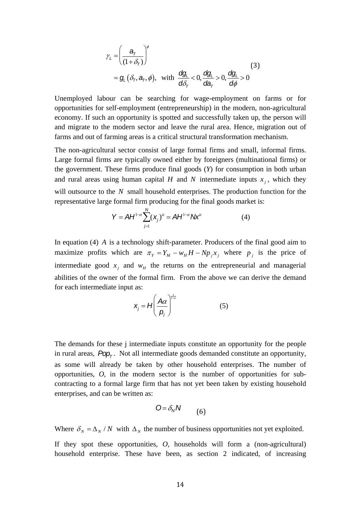$$
\gamma_{L} = \left(\frac{a_{\tau}}{(1+\delta_{\tau})}\right)^{\phi}
$$
\n
$$
= g_{L}(\delta_{\tau}, a_{\tau}, \phi), \text{ with } \frac{dg_{L}}{d\delta_{\tau}} < 0, \frac{dg_{L}}{da_{\tau}} > 0, \frac{dg_{L}}{d\phi} > 0
$$
\n(3)

Unemployed labour can be searching for wage-employment on farms or for opportunities for self-employment (entrepreneurship) in the modern, non-agricultural economy. If such an opportunity is spotted and successfully taken up, the person will and migrate to the modern sector and leave the rural area. Hence, migration out of farms and out of farming areas is a critical structural transformation mechanism.

The non-agricultural sector consist of large formal firms and small, informal firms. Large formal firms are typically owned either by foreigners (multinational firms) or the government. These firms produce final goods (*Y*) for consumption in both urban and rural areas using human capital *H* and *N* intermediate inputs  $x_i$ , which they will outsource to the *N* small household enterprises. The production function for the representative large formal firm producing for the final goods market is:

$$
Y = AH^{1-\alpha} \sum_{j=1}^{N} (x_j)^{\alpha} = AH^{1-\alpha} \, Mx^{\alpha} \tag{4}
$$

In equation (4) *A* is a technology shift-parameter. Producers of the final good aim to maximize profits which are  $\pi_Y = Y_M - w_H H - N p_j x_j$  where  $p_j$  is the price of intermediate good  $x_i$  and  $w_H$  the returns on the entrepreneurial and managerial abilities of the owner of the formal firm. From the above we can derive the demand for each intermediate input as:

$$
x_j = H \left(\frac{A\alpha}{p_j}\right)^{\frac{1}{1-\alpha}} \tag{5}
$$

The demands for these j intermediate inputs constitute an opportunity for the people in rural areas,  $Pop<sub>T</sub>$ . Not all intermediate goods demanded constitute an opportunity, as some will already be taken by other household enterprises. The number of opportunities, *O*, in the modern sector is the number of opportunities for subcontracting to a formal large firm that has not yet been taken by existing household enterprises, and can be written as:

$$
O = \delta_N N \tag{6}
$$

Where  $\delta_N = \Delta_N / N$  with  $\Delta_N$  the number of business opportunities not yet exploited.

If they spot these opportunities, *O*, households will form a (non-agricultural) household enterprise. These have been, as section 2 indicated, of increasing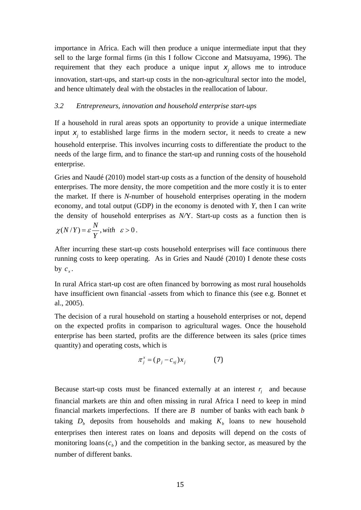importance in Africa. Each will then produce a unique intermediate input that they sell to the large formal firms (in this I follow Ciccone and Matsuyama, 1996). The requirement that they each produce a unique input  $x_i$  allows me to introduce innovation, start-ups, and start-up costs in the non-agricultural sector into the model, and hence ultimately deal with the obstacles in the reallocation of labour.

#### *3.2 Entrepreneurs, innovation and household enterprise start-ups*

If a household in rural areas spots an opportunity to provide a unique intermediate input  $x_i$  to established large firms in the modern sector, it needs to create a new household enterprise. This involves incurring costs to differentiate the product to the needs of the large firm, and to finance the start-up and running costs of the household enterprise.

Gries and Naudé (2010) model start-up costs as a function of the density of household enterprises. The more density, the more competition and the more costly it is to enter the market. If there is *N*-number of household enterprises operating in the modern economy, and total output (GDP) in the economy is denoted with *Y*, then I can write the density of household enterprises as *N/*Y. Start-up costs as a function then is

$$
\chi(N/Y)=\varepsilon\frac{N}{Y}, with \quad \varepsilon>0.
$$

After incurring these start-up costs household enterprises will face continuous there running costs to keep operating. As in Gries and Naudé (2010) I denote these costs by  $c_{x}$ .

In rural Africa start-up cost are often financed by borrowing as most rural households have insufficient own financial -assets from which to finance this (see e.g. Bonnet et al., 2005).

The decision of a rural household on starting a household enterprises or not, depend on the expected profits in comparison to agricultural wages. Once the household enterprise has been started, profits are the difference between its sales (price times quantity) and operating costs, which is

$$
\pi_j^x = (p_j - c_{xj})x_j \tag{7}
$$

Because start-up costs must be financed externally at an interest  $r_i$  and because financial markets are thin and often missing in rural Africa I need to keep in mind financial markets imperfections. If there are *B* number of banks with each bank *b* taking  $D_b$  deposits from households and making  $K_b$  loans to new household enterprises then interest rates on loans and deposits will depend on the costs of monitoring loans  $(c<sub>b</sub>)$  and the competition in the banking sector, as measured by the number of different banks.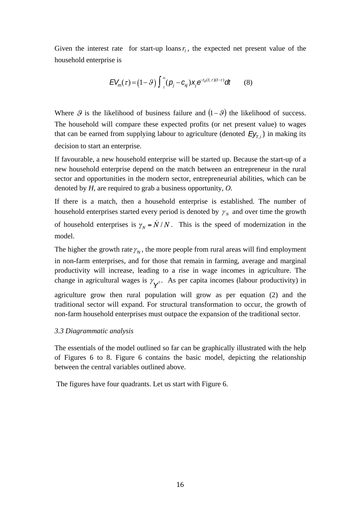Given the interest rate for start-up loans  $r<sub>i</sub>$ , the expected net present value of the household enterprise is

$$
EV_m(\tau) = (1 - \vartheta) \int_{\tau}^{\infty} (\rho_j - c_{xj}) x_j e^{-r_d(t, \tau)(t - \tau)} dt \qquad (8)
$$

Where  $\mathcal G$  is the likelihood of business failure and  $(1 - \mathcal G)$  the likelihood of success. The household will compare these expected profits (or net present value) to wages that can be earned from supplying labour to agriculture (denoted  $E_yf_{\tau,i}$ ) in making its decision to start an enterprise.

If favourable, a new household enterprise will be started up. Because the start-up of a new household enterprise depend on the match between an entrepreneur in the rural sector and opportunities in the modern sector, entrepreneurial abilities, which can be denoted by *H*, are required to grab a business opportunity, *O.* 

If there is a match, then a household enterprise is established. The number of household enterprises started every period is denoted by  $\gamma_N$  and over time the growth of household enterprises is  $\gamma_N = N/N$ . This is the speed of modernization in the model.

The higher the growth rate  $\gamma_N$ , the more people from rural areas will find employment in non-farm enterprises, and for those that remain in farming, average and marginal productivity will increase, leading to a rise in wage incomes in agriculture. The change in agricultural wages is  $\gamma_{\mathbf{Y}^T}$ . As per capita incomes (labour productivity) in

agriculture grow then rural population will grow as per equation (2) and the traditional sector will expand. For structural transformation to occur, the growth of non-farm household enterprises must outpace the expansion of the traditional sector.

#### *3.3 Diagrammatic analysis*

The essentials of the model outlined so far can be graphically illustrated with the help of Figures 6 to 8. Figure 6 contains the basic model, depicting the relationship between the central variables outlined above.

The figures have four quadrants. Let us start with Figure 6.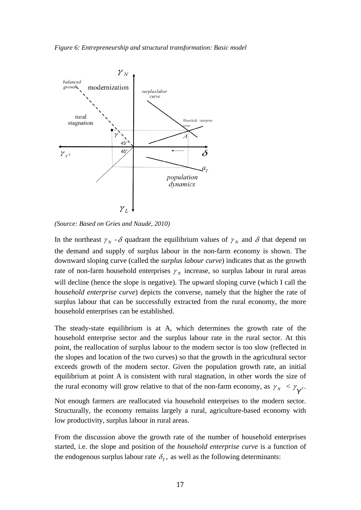

*(Source: Based on Gries and Naudé, 2010)* 

In the northeast  $\gamma_N$  -  $\delta$  quadrant the equilibrium values of  $\gamma_N$  and  $\delta$  that depend on the demand and supply of surplus labour in the non-farm economy is shown. The downward sloping curve (called the *surplus labour curve*) indicates that as the growth rate of non-farm household enterprises  $\gamma_N$  increase, so surplus labour in rural areas will decline (hence the slope is negative). The upward sloping curve (which I call the *household enterprise curve*) depicts the converse, namely that the higher the rate of surplus labour that can be successfully extracted from the rural economy, the more household enterprises can be established.

The steady-state equilibrium is at A, which determines the growth rate of the household enterprise sector and the surplus labour rate in the rural sector. At this point, the reallocation of surplus labour to the modern sector is too slow (reflected in the slopes and location of the two curves) so that the growth in the agricultural sector exceeds growth of the modern sector. Given the population growth rate, an initial equilibrium at point A is consistent with rural stagnation, in other words the size of the rural economy will grow relative to that of the non-farm economy, as  $\gamma_N < \gamma_{\gamma}$ .

Not enough farmers are reallocated via household enterprises to the modern sector. Structurally, the economy remains largely a rural, agriculture-based economy with low productivity, surplus labour in rural areas.

From the discussion above the growth rate of the number of household enterprises started, i.e. the slope and position of the *household enterprise curve* is a function of the endogenous surplus labour rate  $\delta_r$ , as well as the following determinants: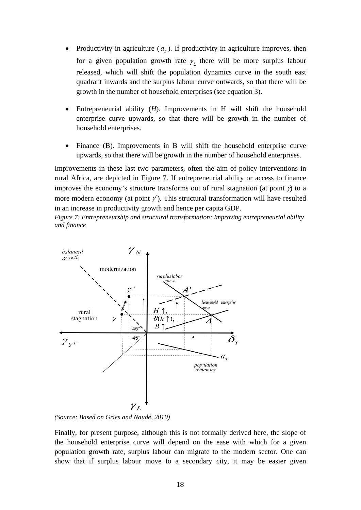- Productivity in agriculture  $(a<sub>r</sub>)$ . If productivity in agriculture improves, then for a given population growth rate  $\gamma$  there will be more surplus labour released, which will shift the population dynamics curve in the south east quadrant inwards and the surplus labour curve outwards, so that there will be growth in the number of household enterprises (see equation 3).
- Entrepreneurial ability (*H*). Improvements in H will shift the household enterprise curve upwards, so that there will be growth in the number of household enterprises.
- Finance (B). Improvements in B will shift the household enterprise curve upwards, so that there will be growth in the number of household enterprises.

Improvements in these last two parameters, often the aim of policy interventions in rural Africa, are depicted in Figure 7. If entrepreneurial ability or access to finance improves the economy's structure transforms out of rural stagnation (at point  $\gamma$ ) to a more modern economy (at point  $\gamma$ ). This structural transformation will have resulted in an increase in productivity growth and hence per capita GDP.

*Figure 7: Entrepreneurship and structural transformation: Improving entrepreneurial ability and finance*



*(Source: Based on Gries and Naudé, 2010)* 

Finally, for present purpose, although this is not formally derived here, the slope of the household enterprise curve will depend on the ease with which for a given population growth rate, surplus labour can migrate to the modern sector. One can show that if surplus labour move to a secondary city, it may be easier given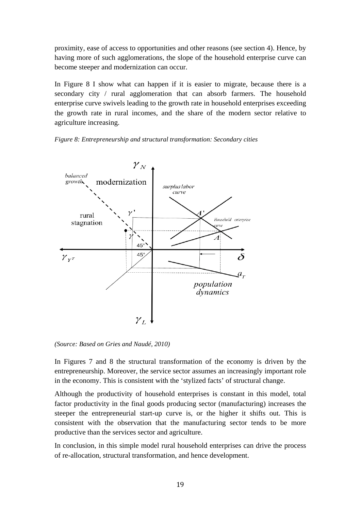proximity, ease of access to opportunities and other reasons (see section 4). Hence, by having more of such agglomerations, the slope of the household enterprise curve can become steeper and modernization can occur.

In Figure 8 I show what can happen if it is easier to migrate, because there is a secondary city / rural agglomeration that can absorb farmers. The household enterprise curve swivels leading to the growth rate in household enterprises exceeding the growth rate in rural incomes, and the share of the modern sector relative to agriculture increasing.





*(Source: Based on Gries and Naudé, 2010)* 

In Figures 7 and 8 the structural transformation of the economy is driven by the entrepreneurship. Moreover, the service sector assumes an increasingly important role in the economy. This is consistent with the 'stylized facts' of structural change.

Although the productivity of household enterprises is constant in this model, total factor productivity in the final goods producing sector (manufacturing) increases the steeper the entrepreneurial start-up curve is, or the higher it shifts out. This is consistent with the observation that the manufacturing sector tends to be more productive than the services sector and agriculture.

In conclusion, in this simple model rural household enterprises can drive the process of re-allocation, structural transformation, and hence development.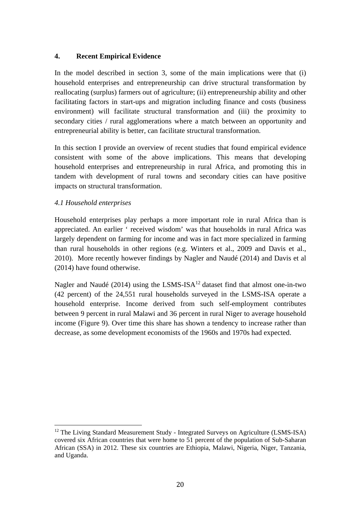#### **4. Recent Empirical Evidence**

In the model described in section 3, some of the main implications were that (i) household enterprises and entrepreneurship can drive structural transformation by reallocating (surplus) farmers out of agriculture; (ii) entrepreneurship ability and other facilitating factors in start-ups and migration including finance and costs (business environment) will facilitate structural transformation and (iii) the proximity to secondary cities / rural agglomerations where a match between an opportunity and entrepreneurial ability is better, can facilitate structural transformation.

In this section I provide an overview of recent studies that found empirical evidence consistent with some of the above implications. This means that developing household enterprises and entrepreneurship in rural Africa, and promoting this in tandem with development of rural towns and secondary cities can have positive impacts on structural transformation.

#### *4.1 Household enterprises*

Household enterprises play perhaps a more important role in rural Africa than is appreciated. An earlier ' received wisdom' was that households in rural Africa was largely dependent on farming for income and was in fact more specialized in farming than rural households in other regions (e.g. Winters et al., 2009 and Davis et al., 2010). More recently however findings by Nagler and Naudé (2014) and Davis et al (2014) have found otherwise.

Nagler and Naudé (2014) using the LSMS-ISA<sup>12</sup> dataset find that almost one-in-two (42 percent) of the 24,551 rural households surveyed in the LSMS-ISA operate a household enterprise. Income derived from such self-employment contributes between 9 percent in rural Malawi and 36 percent in rural Niger to average household income (Figure 9). Over time this share has shown a tendency to increase rather than decrease, as some development economists of the 1960s and 1970s had expected.

 <sup>12</sup> The Living Standard Measurement Study - Integrated Surveys on Agriculture (LSMS-ISA) covered six African countries that were home to 51 percent of the population of Sub-Saharan African (SSA) in 2012. These six countries are Ethiopia, Malawi, Nigeria, Niger, Tanzania, and Uganda.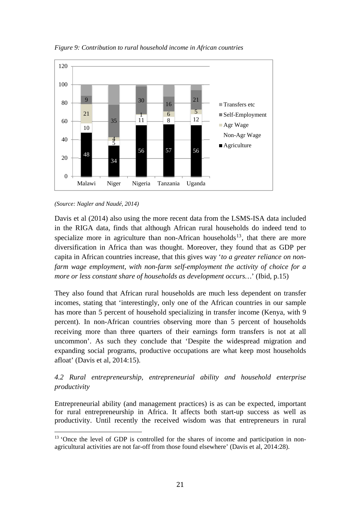

*Figure 9: Contribution to rural household income in African countries* 

#### *(Source: Nagler and Naudé, 2014)*

 

Davis et al (2014) also using the more recent data from the LSMS-ISA data included in the RIGA data, finds that although African rural households do indeed tend to specialize more in agriculture than non-African households<sup>13</sup>, that there are more diversification in Africa than was thought. Moreover, they found that as GDP per capita in African countries increase, that this gives way '*to a greater reliance on nonfarm wage employment, with non-farm self-employment the activity of choice for a more or less constant share of households as development occurs…*' (Ibid, p.15)

They also found that African rural households are much less dependent on transfer incomes, stating that 'interestingly, only one of the African countries in our sample has more than 5 percent of household specializing in transfer income (Kenya, with 9 percent). In non-African countries observing more than 5 percent of households receiving more than three quarters of their earnings form transfers is not at all uncommon'. As such they conclude that 'Despite the widespread migration and expanding social programs, productive occupations are what keep most households afloat' (Davis et al, 2014:15).

### *4.2 Rural entrepreneurship, entrepreneurial ability and household enterprise productivity*

Entrepreneurial ability (and management practices) is as can be expected, important for rural entrepreneurship in Africa. It affects both start-up success as well as productivity. Until recently the received wisdom was that entrepreneurs in rural

<sup>&</sup>lt;sup>13</sup> 'Once the level of GDP is controlled for the shares of income and participation in nonagricultural activities are not far-off from those found elsewhere' (Davis et al, 2014:28).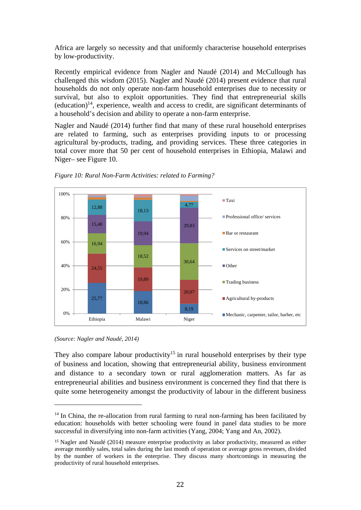Africa are largely so necessity and that uniformly characterise household enterprises by low-productivity.

Recently empirical evidence from Nagler and Naudé (2014) and McCullough has challenged this wisdom (2015). Nagler and Naudé (2014) present evidence that rural households do not only operate non-farm household enterprises due to necessity or survival, but also to exploit opportunities. They find that entrepreneurial skills  $(eduction)^{14}$ , experience, wealth and access to credit, are significant determinants of a household's decision and ability to operate a non-farm enterprise.

Nagler and Naudé (2014) further find that many of these rural household enterprises are related to farming, such as enterprises providing inputs to or processing agricultural by-products, trading, and providing services. These three categories in total cover more that 50 per cent of household enterprises in Ethiopia, Malawi and Niger– see Figure 10.





 

They also compare labour productivity<sup>15</sup> in rural household enterprises by their type of business and location, showing that entrepreneurial ability, business environment and distance to a secondary town or rural agglomeration matters. As far as entrepreneurial abilities and business environment is concerned they find that there is quite some heterogeneity amongst the productivity of labour in the different business

*<sup>(</sup>Source: Nagler and Naudé, 2014)* 

 $14$  In China, the re-allocation from rural farming to rural non-farming has been facilitated by education: households with better schooling were found in panel data studies to be more successful in diversifying into non-farm activities (Yang, 2004; Yang and An, 2002).

<sup>15</sup> Nagler and Naudé (2014) measure enterprise productivity as labor productivity, measured as either average monthly sales, total sales during the last month of operation or average gross revenues, divided by the number of workers in the enterprise. They discuss many shortcomings in measuring the productivity of rural household enterprises.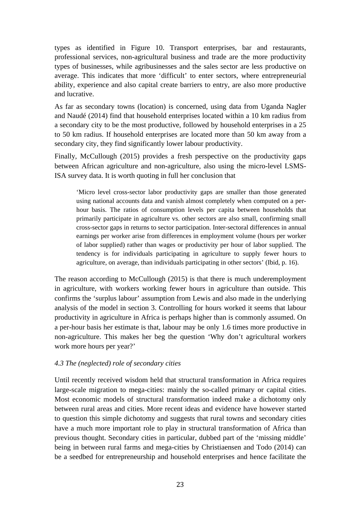types as identified in Figure 10. Transport enterprises, bar and restaurants, professional services, non-agricultural business and trade are the more productivity types of businesses, while agribusinesses and the sales sector are less productive on average. This indicates that more 'difficult' to enter sectors, where entrepreneurial ability, experience and also capital create barriers to entry, are also more productive and lucrative.

As far as secondary towns (location) is concerned, using data from Uganda Nagler and Naudé (2014) find that household enterprises located within a 10 km radius from a secondary city to be the most productive, followed by household enterprises in a 25 to 50 km radius. If household enterprises are located more than 50 km away from a secondary city, they find significantly lower labour productivity.

Finally, McCullough (2015) provides a fresh perspective on the productivity gaps between African agriculture and non-agriculture, also using the micro-level LSMS-ISA survey data. It is worth quoting in full her conclusion that

'Micro level cross-sector labor productivity gaps are smaller than those generated using national accounts data and vanish almost completely when computed on a perhour basis. The ratios of consumption levels per capita between households that primarily participate in agriculture vs. other sectors are also small, confirming small cross-sector gaps in returns to sector participation. Inter-sectoral differences in annual earnings per worker arise from differences in employment volume (hours per worker of labor supplied) rather than wages or productivity per hour of labor supplied. The tendency is for individuals participating in agriculture to supply fewer hours to agriculture, on average, than individuals participating in other sectors' (Ibid, p. 16).

The reason according to McCullough (2015) is that there is much underemployment in agriculture, with workers working fewer hours in agriculture than outside. This confirms the 'surplus labour' assumption from Lewis and also made in the underlying analysis of the model in section 3. Controlling for hours worked it seems that labour productivity in agriculture in Africa is perhaps higher than is commonly assumed. On a per-hour basis her estimate is that, labour may be only 1.6 times more productive in non-agriculture. This makes her beg the question 'Why don't agricultural workers work more hours per year?'

#### *4.3 The (neglected) role of secondary cities*

Until recently received wisdom held that structural transformation in Africa requires large-scale migration to mega-cities: mainly the so-called primary or capital cities. Most economic models of structural transformation indeed make a dichotomy only between rural areas and cities. More recent ideas and evidence have however started to question this simple dichotomy and suggests that rural towns and secondary cities have a much more important role to play in structural transformation of Africa than previous thought. Secondary cities in particular, dubbed part of the 'missing middle' being in between rural farms and mega-cities by Christiaensen and Todo (2014) can be a seedbed for entrepreneurship and household enterprises and hence facilitate the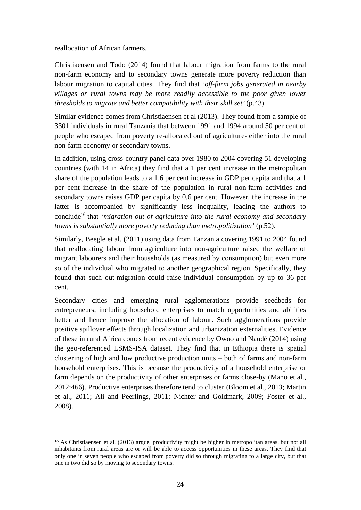reallocation of African farmers.

 

Christiaensen and Todo (2014) found that labour migration from farms to the rural non-farm economy and to secondary towns generate more poverty reduction than labour migration to capital cities. They find that '*off-farm jobs generated in nearby villages or rural towns may be more readily accessible to the poor given lower thresholds to migrate and better compatibility with their skill set'* (p.43).

Similar evidence comes from Christiaensen et al (2013). They found from a sample of 3301 individuals in rural Tanzania that between 1991 and 1994 around 50 per cent of people who escaped from poverty re-allocated out of agriculture- either into the rural non-farm economy or secondary towns.

In addition, using cross-country panel data over 1980 to 2004 covering 51 developing countries (with 14 in Africa) they find that a 1 per cent increase in the metropolitan share of the population leads to a 1.6 per cent increase in GDP per capita and that a 1 per cent increase in the share of the population in rural non-farm activities and secondary towns raises GDP per capita by 0.6 per cent. However, the increase in the latter is accompanied by significantly less inequality, leading the authors to conclude16 that '*migration out of agriculture into the rural economy and secondary towns is substantially more poverty reducing than metropolitization'* (p.52).

Similarly, Beegle et al. (2011) using data from Tanzania covering 1991 to 2004 found that reallocating labour from agriculture into non-agriculture raised the welfare of migrant labourers and their households (as measured by consumption) but even more so of the individual who migrated to another geographical region. Specifically, they found that such out-migration could raise individual consumption by up to 36 per cent.

Secondary cities and emerging rural agglomerations provide seedbeds for entrepreneurs, including household enterprises to match opportunities and abilities better and hence improve the allocation of labour. Such agglomerations provide positive spillover effects through localization and urbanization externalities. Evidence of these in rural Africa comes from recent evidence by Owoo and Naudé (2014) using the geo-referenced LSMS-ISA dataset. They find that in Ethiopia there is spatial clustering of high and low productive production units – both of farms and non-farm household enterprises. This is because the productivity of a household enterprise or farm depends on the productivity of other enterprises or farms close-by (Mano et al., 2012:466). Productive enterprises therefore tend to cluster (Bloom et al., 2013; Martin et al., 2011; Ali and Peerlings, 2011; Nichter and Goldmark, 2009; Foster et al., 2008).

<sup>16</sup> As Christiaensen et al. (2013) argue, productivity might be higher in metropolitan areas, but not all inhabitants from rural areas are or will be able to access opportunities in these areas. They find that only one in seven people who escaped from poverty did so through migrating to a large city, but that one in two did so by moving to secondary towns.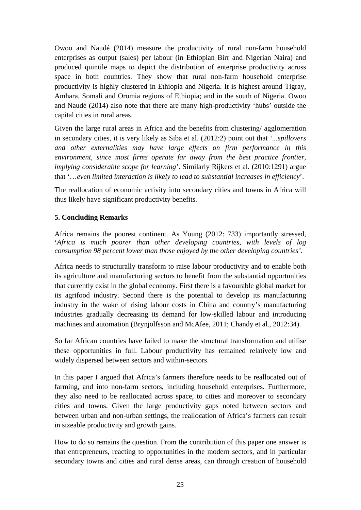Owoo and Naudé (2014) measure the productivity of rural non-farm household enterprises as output (sales) per labour (in Ethiopian Birr and Nigerian Naira) and produced quintile maps to depict the distribution of enterprise productivity across space in both countries. They show that rural non-farm household enterprise productivity is highly clustered in Ethiopia and Nigeria. It is highest around Tigray, Amhara, Somali and Oromia regions of Ethiopia; and in the south of Nigeria. Owoo and Naudé (2014) also note that there are many high-productivity 'hubs' outside the capital cities in rural areas.

Given the large rural areas in Africa and the benefits from clustering/ agglomeration in secondary cities, it is very likely as Siba et al. (2012:2) point out that *'...spillovers and other externalities may have large effects on firm performance in this environment, since most firms operate far away from the best practice frontier, implying considerable scope for learning*'. Similarly Rijkers et al. (2010:1291) argue that '…*even limited interaction is likely to lead to substantial increases in efficiency*'.

The reallocation of economic activity into secondary cities and towns in Africa will thus likely have significant productivity benefits.

#### **5. Concluding Remarks**

Africa remains the poorest continent. As Young (2012: 733) importantly stressed, '*Africa is much poorer than other developing countries, with levels of log consumption 98 percent lower than those enjoyed by the other developing countries'*.

Africa needs to structurally transform to raise labour productivity and to enable both its agriculture and manufacturing sectors to benefit from the substantial opportunities that currently exist in the global economy. First there is a favourable global market for its agrifood industry. Second there is the potential to develop its manufacturing industry in the wake of rising labour costs in China and country's manufacturing industries gradually decreasing its demand for low-skilled labour and introducing machines and automation (Brynjolfsson and McAfee, 2011; Chandy et al., 2012:34).

So far African countries have failed to make the structural transformation and utilise these opportunities in full. Labour productivity has remained relatively low and widely dispersed between sectors and within-sectors.

In this paper I argued that Africa's farmers therefore needs to be reallocated out of farming, and into non-farm sectors, including household enterprises. Furthermore, they also need to be reallocated across space, to cities and moreover to secondary cities and towns. Given the large productivity gaps noted between sectors and between urban and non-urban settings, the reallocation of Africa's farmers can result in sizeable productivity and growth gains.

How to do so remains the question. From the contribution of this paper one answer is that entrepreneurs, reacting to opportunities in the modern sectors, and in particular secondary towns and cities and rural dense areas, can through creation of household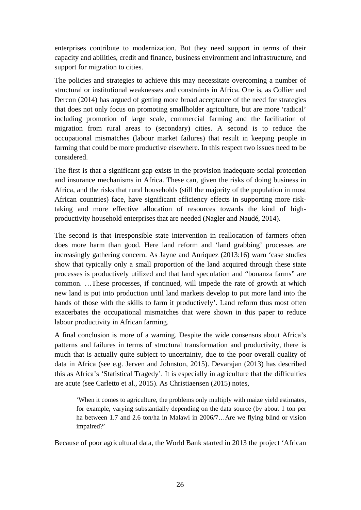enterprises contribute to modernization. But they need support in terms of their capacity and abilities, credit and finance, business environment and infrastructure, and support for migration to cities.

The policies and strategies to achieve this may necessitate overcoming a number of structural or institutional weaknesses and constraints in Africa. One is, as Collier and Dercon (2014) has argued of getting more broad acceptance of the need for strategies that does not only focus on promoting smallholder agriculture, but are more 'radical' including promotion of large scale, commercial farming and the facilitation of migration from rural areas to (secondary) cities. A second is to reduce the occupational mismatches (labour market failures) that result in keeping people in farming that could be more productive elsewhere. In this respect two issues need to be considered.

The first is that a significant gap exists in the provision inadequate social protection and insurance mechanisms in Africa. These can, given the risks of doing business in Africa, and the risks that rural households (still the majority of the population in most African countries) face, have significant efficiency effects in supporting more risktaking and more effective allocation of resources towards the kind of highproductivity household enterprises that are needed (Nagler and Naudé, 2014).

The second is that irresponsible state intervention in reallocation of farmers often does more harm than good. Here land reform and 'land grabbing' processes are increasingly gathering concern. As Jayne and Anriquez (2013:16) warn 'case studies show that typically only a small proportion of the land acquired through these state processes is productively utilized and that land speculation and "bonanza farms" are common. …These processes, if continued, will impede the rate of growth at which new land is put into production until land markets develop to put more land into the hands of those with the skills to farm it productively'. Land reform thus most often exacerbates the occupational mismatches that were shown in this paper to reduce labour productivity in African farming.

A final conclusion is more of a warning. Despite the wide consensus about Africa's patterns and failures in terms of structural transformation and productivity, there is much that is actually quite subject to uncertainty, due to the poor overall quality of data in Africa (see e.g. Jerven and Johnston, 2015). Devarajan (2013) has described this as Africa's 'Statistical Tragedy'. It is especially in agriculture that the difficulties are acute (see Carletto et al., 2015). As Christiaensen (2015) notes,

'When it comes to agriculture, the problems only multiply with maize yield estimates, for example, varying substantially depending on the data source (by about 1 ton per ha between 1.7 and 2.6 ton/ha in Malawi in 2006/7…Are we flying blind or vision impaired?'

Because of poor agricultural data, the World Bank started in 2013 the project 'African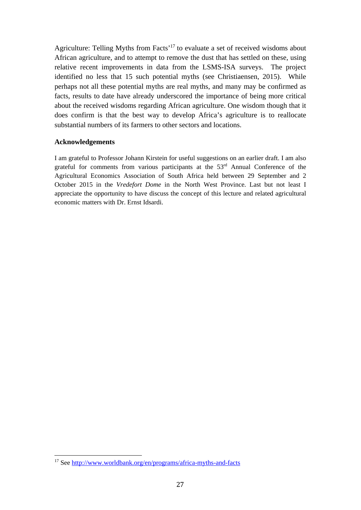Agriculture: Telling Myths from Facts'17 to evaluate a set of received wisdoms about African agriculture, and to attempt to remove the dust that has settled on these, using relative recent improvements in data from the LSMS-ISA surveys. The project identified no less that 15 such potential myths (see Christiaensen, 2015). While perhaps not all these potential myths are real myths, and many may be confirmed as facts, results to date have already underscored the importance of being more critical about the received wisdoms regarding African agriculture. One wisdom though that it does confirm is that the best way to develop Africa's agriculture is to reallocate substantial numbers of its farmers to other sectors and locations.

#### **Acknowledgements**

I am grateful to Professor Johann Kirstein for useful suggestions on an earlier draft. I am also grateful for comments from various participants at the  $53<sup>rd</sup>$  Annual Conference of the Agricultural Economics Association of South Africa held between 29 September and 2 October 2015 in the *Vredefort Dome* in the North West Province. Last but not least I appreciate the opportunity to have discuss the concept of this lecture and related agricultural economic matters with Dr. Ernst Idsardi.

 

<sup>17</sup> See http://www.worldbank.org/en/programs/africa-myths-and-facts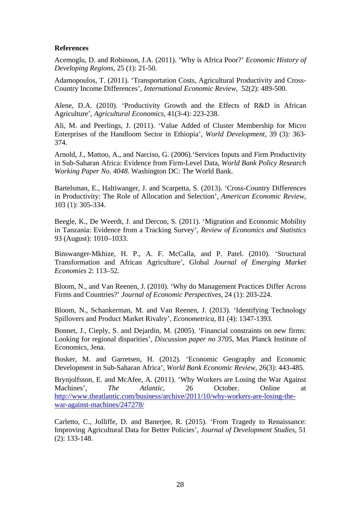#### **References**

Acemoglu, D. and Robinson, J.A. (2011). 'Why is Africa Poor?' *Economic History of Developing Regions*, 25 (1): 21-50.

Adamopoulos, T. (2011). 'Transportation Costs, Agricultural Productivity and Cross-Country Income Differences', *International Economic Review*, 52(2): 489-500.

Alene, D.A. (2010). 'Productivity Growth and the Effects of R&D in African Agriculture', *Agricultural Economics*, 41(3-4): 223-238.

Ali, M. and Peerlings, J. (2011). 'Value Added of Cluster Membership for Micro Enterprises of the Handloom Sector in Ethiopia', *World Development*, 39 (3): 363- 374.

Arnold, J., Mattoo, A., and Narciso, G. (2006).'Services Inputs and Firm Productivity in Sub-Saharan Africa: Evidence from Firm-Level Data, *World Bank Policy Research Working Paper No. 4048*. Washington DC: The World Bank.

Bartelsman, E., Haltiwanger, J. and Scarpetta, S. (2013). 'Cross-Country Differences in Productivity: The Role of Allocation and Selection', *American Economic Review*, 103 (1): 305-334.

Beegle, K., De Weerdt, J. and Dercon, S. (2011). 'Migration and Economic Mobility in Tanzania: Evidence from a Tracking Survey', *Review of Economics and Statistics*  93 (August): 1010–1033.

Binswanger-Mkhize, H. P., A. F. McCalla, and P. Patel. (2010). 'Structural Transformation and African Agriculture', Global *Journal of Emerging Market Economies* 2: 113–52.

Bloom, N., and Van Reenen, J. (2010). 'Why do Management Practices Differ Across Firms and Countries?' *Journal of Economic Perspectives*, 24 (1): 203-224.

Bloom, N., Schankerman, M. and Van Reenen, J. (2013). 'Identifying Technology Spillovers and Product Market Rivalry', *Econometrica*, 81 (4): 1347-1393.

Bonnet, J., Cieply, S. and Dejardin, M. (2005). 'Financial constraints on new firms: Looking for regional disparities', *Discussion paper no 3705,* Max Planck Institute of Economics, Jena.

Bosker, M. and Garretsen, H. (2012). 'Economic Geography and Economic Development in Sub-Saharan Africa', *World Bank Economic Review*, 26(3): 443-485.

Brynjolfsson, E. and McAfee, A. (2011). 'Why Workers are Losing the War Against Machines', *The Atlantic*, 26 October. Online at http://www.theatlantic.com/business/archive/2011/10/why-workers-are-losing-thewar-against-machines/247278/

Carletto, C., Jolliffe, D. and Banerjee, R. (2015). 'From Tragedy to Renaissance: Improving Agricultural Data for Better Policies', *Journal of Development Studies*, 51 (2): 133-148.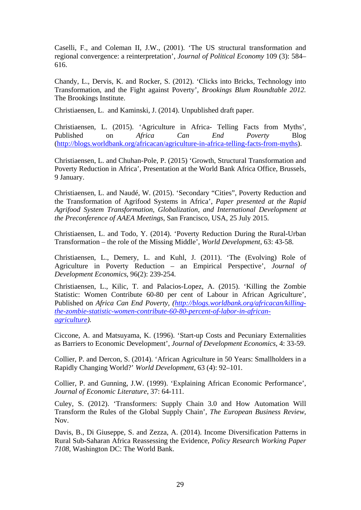Caselli, F., and Coleman II, J.W., (2001). 'The US structural transformation and regional convergence: a reinterpretation', *Journal of Political Economy* 109 (3): 584– 616.

Chandy, L., Dervis, K. and Rocker, S. (2012). 'Clicks into Bricks, Technology into Transformation, and the Fight against Poverty'*, Brookings Blum Roundtable 2012.* The Brookings Institute.

Christiaensen, L. and Kaminski, J. (2014). Unpublished draft paper.

Christiaensen, L. (2015). 'Agriculture in Africa- Telling Facts from Myths', Published on *Africa Can End Poverty* Blog (http://blogs.worldbank.org/africacan/agriculture-in-africa-telling-facts-from-myths).

Christiaensen, L. and Chuhan-Pole, P. (2015) 'Growth, Structural Transformation and Poverty Reduction in Africa', Presentation at the World Bank Africa Office, Brussels, 9 January.

Christiaensen, L. and Naudé, W. (2015). 'Secondary "Cities", Poverty Reduction and the Transformation of Agrifood Systems in Africa', *Paper presented at the Rapid Agrifood System Transformation, Globalization, and International Development at the Preconference of AAEA Meetings*, San Francisco, USA, 25 July 2015.

Christiaensen, L. and Todo, Y. (2014). 'Poverty Reduction During the Rural-Urban Transformation – the role of the Missing Middle', *World Development*, 63: 43-58.

Christiaensen, L., Demery, L. and Kuhl, J. (2011). 'The (Evolving) Role of Agriculture in Poverty Reduction – an Empirical Perspective', *Journal of Development Economics*, 96(2): 239-254.

Christiaensen, L., Kilic, T. and Palacios-Lopez, A. (2015). 'Killing the Zombie Statistic: Women Contribute 60-80 per cent of Labour in African Agriculture', Published on *Africa Can End Poverty, (http://blogs.worldbank.org/africacan/killingthe-zombie-statistic-women-contribute-60-80-percent-of-labor-in-africanagriculture).*

Ciccone, A. and Matsuyama, K. (1996). 'Start-up Costs and Pecuniary Externalities as Barriers to Economic Development', *Journal of Development Economics*, 4: 33-59.

Collier, P. and Dercon, S. (2014). 'African Agriculture in 50 Years: Smallholders in a Rapidly Changing World?' *World Development,* 63 (4): 92–101.

Collier, P. and Gunning, J.W. (1999). 'Explaining African Economic Performance', *Journal of Economic Literature*, 37: 64-111.

Culey, S. (2012). 'Transformers: Supply Chain 3.0 and How Automation Will Transform the Rules of the Global Supply Chain', *The European Business Review*, Nov.

Davis, B., Di Giuseppe, S. and Zezza, A. (2014). Income Diversification Patterns in Rural Sub-Saharan Africa Reassessing the Evidence, *Policy Research Working Paper 7108*, Washington DC: The World Bank.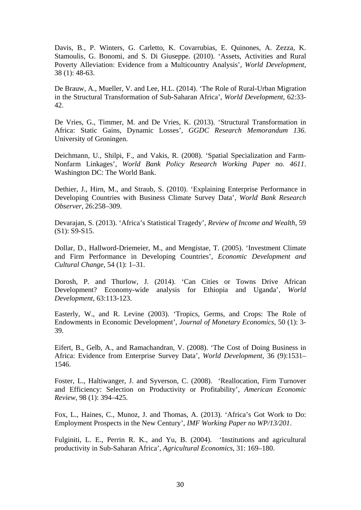Davis, B., P. Winters, G. Carletto, K. Covarrubias, E. Quinones, A. Zezza, K. Stamoulis, G. Bonomi, and S. Di Giuseppe. (2010). 'Assets, Activities and Rural Poverty Alleviation: Evidence from a Multicountry Analysis', *World Development,*  38 (1): 48-63.

De Brauw, A., Mueller, V. and Lee, H.L. (2014). 'The Role of Rural-Urban Migration in the Structural Transformation of Sub-Saharan Africa', *World Development*, 62:33- 42.

De Vries, G., Timmer, M. and De Vries, K. (2013). 'Structural Transformation in Africa: Static Gains, Dynamic Losses', *GGDC Research Memorandum 136*. University of Groningen.

Deichmann, U., Shilpi, F., and Vakis, R. (2008). 'Spatial Specialization and Farm-Nonfarm Linkages', *World Bank Policy Research Working Paper no. 4611*. Washington DC: The World Bank.

Dethier, J., Hirn, M., and Straub, S. (2010). 'Explaining Enterprise Performance in Developing Countries with Business Climate Survey Data', *World Bank Research Observer*, 26:258–309.

Devarajan, S. (2013). 'Africa's Statistical Tragedy', *Review of Income and Wealth*, 59 (S1): S9-S15.

Dollar, D., Hallword-Driemeier, M., and Mengistae, T. (2005). 'Investment Climate and Firm Performance in Developing Countries', *Economic Development and Cultural Change*, 54 (1): 1–31.

Dorosh, P. and Thurlow, J. (2014). 'Can Cities or Towns Drive African Development? Economy-wide analysis for Ethiopia and Uganda', *World Development,* 63:113-123.

Easterly, W., and R. Levine (2003). 'Tropics, Germs, and Crops: The Role of Endowments in Economic Development', *Journal of Monetary Economics*, 50 (1): 3- 39.

Eifert, B., Gelb, A., and Ramachandran, V. (2008). 'The Cost of Doing Business in Africa: Evidence from Enterprise Survey Data', *World Development*, 36 (9):1531– 1546.

Foster, L., Haltiwanger, J. and Syverson, C. (2008). 'Reallocation, Firm Turnover and Efficiency: Selection on Productivity or Profitability', *American Economic Review*, 98 (1): 394–425.

Fox, L., Haines, C., Munoz, J. and Thomas, A. (2013). 'Africa's Got Work to Do: Employment Prospects in the New Century', *IMF Working Paper no WP/13/201*.

Fulginiti, L. E., Perrin R. K., and Yu, B. (2004). 'Institutions and agricultural productivity in Sub-Saharan Africa', *Agricultural Economics*, 31: 169–180.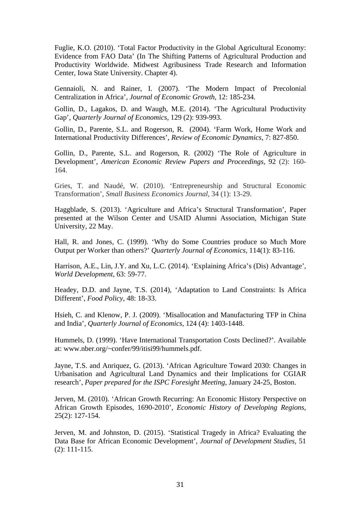Fuglie, K.O. (2010). 'Total Factor Productivity in the Global Agricultural Economy: Evidence from FAO Data' (In The Shifting Patterns of Agricultural Production and Productivity Worldwide. Midwest Agribusiness Trade Research and Information Center, Iowa State University. Chapter 4).

Gennaioli, N. and Rainer, I. (2007). 'The Modern Impact of Precolonial Centralization in Africa', *Journal of Economic Growth*, 12: 185-234.

Gollin, D., Lagakos, D. and Waugh, M.E. (2014). 'The Agricultural Productivity Gap', *Quarterly Journal of Economics*, 129 (2): 939-993.

Gollin, D., Parente, S.L. and Rogerson, R. (2004). 'Farm Work, Home Work and International Productivity Differences', *Review of Economic Dynamics*, 7: 827-850.

Gollin, D., Parente, S.L. and Rogerson, R. (2002) 'The Role of Agriculture in Development', *American Economic Review Papers and Proceedings*, 92 (2): 160- 164.

Gries, T. and Naudé, W. (2010). 'Entrepreneurship and Structural Economic Transformation', *Small Business Economics Journal,* 34 (1): 13-29.

Haggblade, S. (2013). 'Agriculture and Africa's Structural Transformation', Paper presented at the Wilson Center and USAID Alumni Association, Michigan State University, 22 May.

Hall, R. and Jones, C. (1999). 'Why do Some Countries produce so Much More Output per Worker than others?' *Quarterly Journal of Economics*, 114(1): 83-116.

Harrison, A.E., Lin, J.Y. and Xu, L.C. (2014). 'Explaining Africa's (Dis) Advantage', *World Development*, 63: 59-77.

Headey, D.D. and Jayne, T.S. (2014), 'Adaptation to Land Constraints: Is Africa Different', *Food Policy*, 48: 18-33.

Hsieh, C. and Klenow, P. J. (2009). 'Misallocation and Manufacturing TFP in China and India', *Quarterly Journal of Economics*, 124 (4): 1403-1448.

Hummels, D. (1999). 'Have International Transportation Costs Declined?'. Available at: www.nber.org/~confer/99/itisi99/hummels.pdf.

Jayne, T.S. and Anriquez, G. (2013). 'African Agriculture Toward 2030: Changes in Urbanisation and Agricultural Land Dynamics and their Implications for CGIAR research', *Paper prepared for the ISPC Foresight Meeting*, January 24-25, Boston.

Jerven, M. (2010). 'African Growth Recurring: An Economic History Perspective on African Growth Episodes, 1690-2010', *Economic History of Developing Regions*, 25(2): 127-154.

Jerven, M. and Johnston, D. (2015). 'Statistical Tragedy in Africa? Evaluating the Data Base for African Economic Development', *Journal of Development Studies,* 51 (2): 111-115.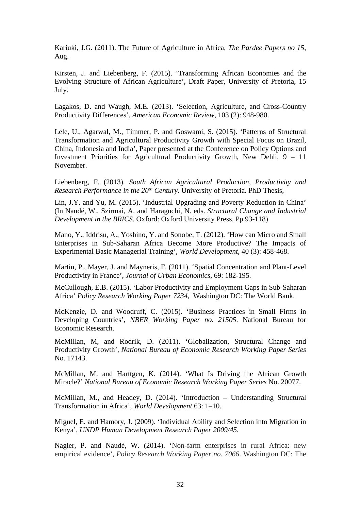Kariuki, J.G. (2011). The Future of Agriculture in Africa, *The Pardee Papers no 15*, Aug.

Kirsten, J. and Liebenberg, F. (2015). 'Transforming African Economies and the Evolving Structure of African Agriculture', Draft Paper, University of Pretoria, 15 July.

Lagakos, D. and Waugh, M.E. (2013). 'Selection, Agriculture, and Cross-Country Productivity Differences', *American Economic Review*, 103 (2): 948-980.

Lele, U., Agarwal, M., Timmer, P. and Goswami, S. (2015). 'Patterns of Structural Transformation and Agricultural Productivity Growth with Special Focus on Brazil, China, Indonesia and India', Paper presented at the Conference on Policy Options and Investment Priorities for Agricultural Productivity Growth, New Dehli, 9 – 11 November.

Liebenberg, F. (2013). *South African Agricultural Production, Productivity and Research Performance in the 20<sup>th</sup> Century*. University of Pretoria. PhD Thesis,

Lin, J.Y. and Yu, M. (2015). 'Industrial Upgrading and Poverty Reduction in China' (In Naudé, W., Szirmai, A. and Haraguchi, N. eds. *Structural Change and Industrial Development in the BRICS*. Oxford: Oxford University Press. Pp.93-118).

Mano, Y., Iddrisu, A., Yoshino, Y. and Sonobe, T. (2012). 'How can Micro and Small Enterprises in Sub-Saharan Africa Become More Productive? The Impacts of Experimental Basic Managerial Training', *World Development*, 40 (3): 458-468.

Martin, P., Mayer, J. and Mayneris, F. (2011). 'Spatial Concentration and Plant-Level Productivity in France', *Journal of Urban Economics*, 69: 182-195.

McCullough, E.B. (2015). 'Labor Productivity and Employment Gaps in Sub-Saharan Africa' *Policy Research Working Paper 7234*, Washington DC: The World Bank.

McKenzie, D. and Woodruff, C. (2015). 'Business Practices in Small Firms in Developing Countries', *NBER Working Paper no. 21505*. National Bureau for Economic Research.

McMillan, M, and Rodrik, D. (2011). 'Globalization, Structural Change and Productivity Growth', *National Bureau of Economic Research Working Paper Series*  No. 17143.

McMillan, M. and Harttgen, K. (2014). 'What Is Driving the African Growth Miracle?' *National Bureau of Economic Research Working Paper Series* No. 20077.

McMillan, M., and Headey, D. (2014). 'Introduction – Understanding Structural Transformation in Africa', *World Development* 63: 1–10.

Miguel, E. and Hamory, J. (2009). 'Individual Ability and Selection into Migration in Kenya', *UNDP Human Development Research Paper 2009/45.*

Nagler, P. and Naudé, W. (2014). 'Non-farm enterprises in rural Africa: new empirical evidence', *Policy Research Working Paper no. 7066*. Washington DC: The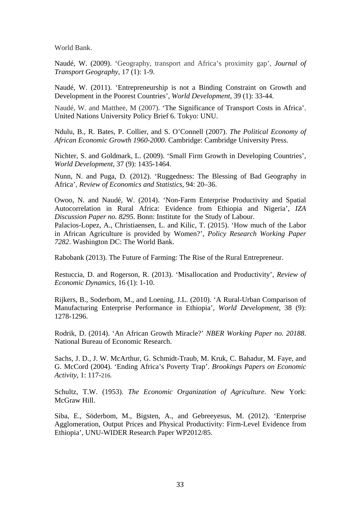World Bank.

Naudé, W. (2009). 'Geography, transport and Africa's proximity gap', *Journal of Transport Geography*, 17 (1): 1-9.

Naudé, W. (2011). 'Entrepreneurship is not a Binding Constraint on Growth and Development in the Poorest Countries', *World Development*, 39 (1): 33-44.

Naudé, W. and Matthee, M (2007). 'The Significance of Transport Costs in Africa'. United Nations University Policy Brief 6. Tokyo: UNU.

Ndulu, B., R. Bates, P. Collier, and S. O'Connell (2007). *The Political Economy of African Economic Growth 1960-2000*. Cambridge: Cambridge University Press.

Nichter, S. and Goldmark, L. (2009). 'Small Firm Growth in Developing Countries', *World Development*, 37 (9): 1435-1464.

Nunn, N. and Puga, D. (2012). 'Ruggedness: The Blessing of Bad Geography in Africa', *Review of Economics and Statistics*, 94: 20–36.

Owoo, N. and Naudé, W. (2014). 'Non-Farm Enterprise Productivity and Spatial Autocorrelation in Rural Africa: Evidence from Ethiopia and Nigeria', *IZA Discussion Paper no. 8295*. Bonn: Institute for the Study of Labour.

Palacios-Lopez, A., Christiaensen, L. and Kilic, T. (2015). 'How much of the Labor in African Agriculture is provided by Women?', *Policy Research Working Paper 7282*. Washington DC: The World Bank.

Rabobank (2013). The Future of Farming: The Rise of the Rural Entrepreneur.

Restuccia, D. and Rogerson, R. (2013). 'Misallocation and Productivity', *Review of Economic Dynamics*, 16 (1): 1-10.

Rijkers, B., Soderbom, M., and Loening, J.L. (2010). 'A Rural-Urban Comparison of Manufacturing Enterprise Performance in Ethiopia', *World Development*, 38 (9): 1278-1296.

Rodrik, D. (2014). 'An African Growth Miracle?' *NBER Working Paper no. 20188*. National Bureau of Economic Research.

Sachs, J. D., J. W. McArthur, G. Schmidt-Traub, M. Kruk, C. Bahadur, M. Faye, and G. McCord (2004). 'Ending Africa's Poverty Trap'. *Brookings Papers on Economic Activity*, 1: 117-216.

Schultz, T.W. (1953). *The Economic Organization of Agriculture*. New York: McGraw Hill.

Siba, E., Söderbom, M., Bigsten, A., and Gebreeyesus, M. (2012). 'Enterprise Agglomeration, Output Prices and Physical Productivity: Firm-Level Evidence from Ethiopia', UNU-WIDER Research Paper WP2012/85.